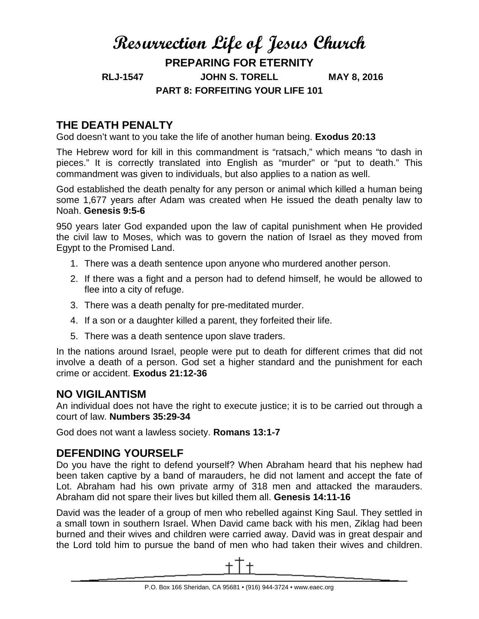# **Resurrection Life of Jesus Church PREPARING FOR ETERNITY RLJ-1547 JOHN S. TORELL MAY 8, 2016 PART 8: FORFEITING YOUR LIFE 101**

# **THE DEATH PENALTY**

God doesn't want to you take the life of another human being. **Exodus 20:13**

The Hebrew word for kill in this commandment is "ratsach," which means "to dash in pieces." It is correctly translated into English as "murder" or "put to death." This commandment was given to individuals, but also applies to a nation as well.

God established the death penalty for any person or animal which killed a human being some 1,677 years after Adam was created when He issued the death penalty law to Noah. **Genesis 9:5-6**

950 years later God expanded upon the law of capital punishment when He provided the civil law to Moses, which was to govern the nation of Israel as they moved from Egypt to the Promised Land.

- 1. There was a death sentence upon anyone who murdered another person.
- 2. If there was a fight and a person had to defend himself, he would be allowed to flee into a city of refuge.
- 3. There was a death penalty for pre-meditated murder.
- 4. If a son or a daughter killed a parent, they forfeited their life.
- 5. There was a death sentence upon slave traders.

In the nations around Israel, people were put to death for different crimes that did not involve a death of a person. God set a higher standard and the punishment for each crime or accident. **Exodus 21:12-36**

#### **NO VIGILANTISM**

An individual does not have the right to execute justice; it is to be carried out through a court of law. **Numbers 35:29-34**

God does not want a lawless society. **Romans 13:1-7**

## **DEFENDING YOURSELF**

Do you have the right to defend yourself? When Abraham heard that his nephew had been taken captive by a band of marauders, he did not lament and accept the fate of Lot. Abraham had his own private army of 318 men and attacked the marauders. Abraham did not spare their lives but killed them all. **Genesis 14:11-16** 

David was the leader of a group of men who rebelled against King Saul. They settled in a small town in southern Israel. When David came back with his men, Ziklag had been burned and their wives and children were carried away. David was in great despair and the Lord told him to pursue the band of men who had taken their wives and children.